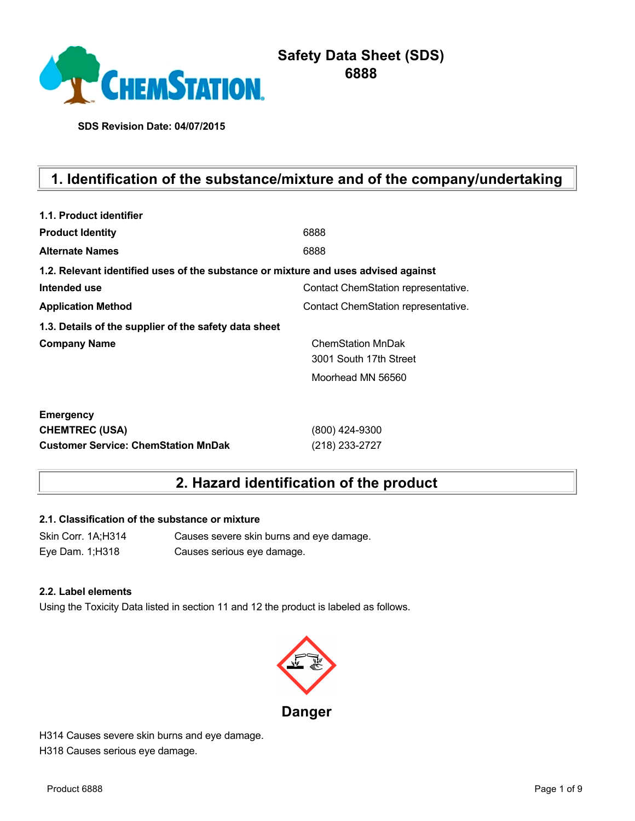

# **Safety Data Sheet (SDS) 6888**

**SDS Revision Date: 04/07/2015**

# **1. Identification of the substance/mixture and of the company/undertaking**

| 1.1. Product identifier                                                            |                                     |
|------------------------------------------------------------------------------------|-------------------------------------|
| <b>Product Identity</b>                                                            | 6888                                |
| <b>Alternate Names</b>                                                             | 6888                                |
| 1.2. Relevant identified uses of the substance or mixture and uses advised against |                                     |
| Intended use                                                                       | Contact ChemStation representative. |
| <b>Application Method</b>                                                          | Contact ChemStation representative. |
| 1.3. Details of the supplier of the safety data sheet                              |                                     |
| <b>Company Name</b>                                                                | <b>ChemStation MnDak</b>            |
|                                                                                    | 3001 South 17th Street              |
|                                                                                    | Moorhead MN 56560                   |
| <b>Emergency</b>                                                                   |                                     |
| <b>CHEMTREC (USA)</b>                                                              | (800) 424-9300                      |
| <b>Customer Service: ChemStation MnDak</b>                                         | (218) 233-2727                      |

## **2. Hazard identification of the product**

### **2.1. Classification of the substance or mixture**

Skin Corr. 1A;H314 Causes severe skin burns and eye damage. Eye Dam. 1;H318 Causes serious eye damage.

#### **2.2. Label elements**

Using the Toxicity Data listed in section 11 and 12 the product is labeled as follows.



H314 Causes severe skin burns and eye damage. H318 Causes serious eye damage.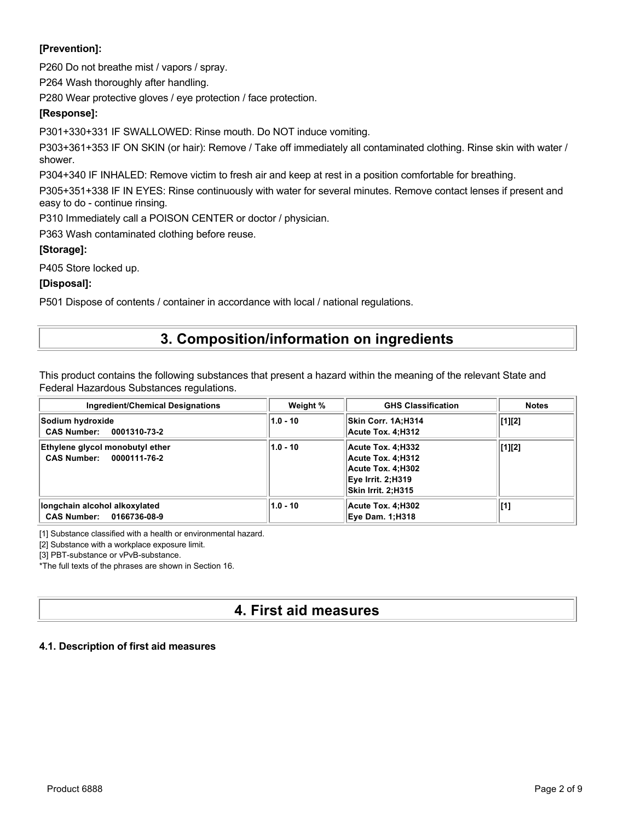### **[Prevention]:**

P260 Do not breathe mist / vapors / spray.

P264 Wash thoroughly after handling.

P280 Wear protective gloves / eye protection / face protection.

### **[Response]:**

P301+330+331 IF SWALLOWED: Rinse mouth. Do NOT induce vomiting.

P303+361+353 IF ON SKIN (or hair): Remove / Take off immediately all contaminated clothing. Rinse skin with water / shower.

P304+340 IF INHALED: Remove victim to fresh air and keep at rest in a position comfortable for breathing.

P305+351+338 IF IN EYES: Rinse continuously with water for several minutes. Remove contact lenses if present and easy to do - continue rinsing.

P310 Immediately call a POISON CENTER or doctor / physician.

P363 Wash contaminated clothing before reuse.

### **[Storage]:**

P405 Store locked up.

### **[Disposal]:**

P501 Dispose of contents / container in accordance with local / national regulations.

## **3. Composition/information on ingredients**

This product contains the following substances that present a hazard within the meaning of the relevant State and Federal Hazardous Substances regulations.

| Ingredient/Chemical Designations                            | Weight %   | <b>GHS Classification</b>                                                                              | <b>Notes</b>   |
|-------------------------------------------------------------|------------|--------------------------------------------------------------------------------------------------------|----------------|
| Sodium hydroxide<br>CAS Number: 0001310-73-2                | $1.0 - 10$ | Skin Corr. 1A:H314<br>Acute Tox. 4:H312                                                                | [1][2]         |
| Ethylene glycol monobutyl ether<br>CAS Number: 0000111-76-2 | $1.0 - 10$ | Acute Tox. 4:H332<br>Acute Tox. 4:H312<br>Acute Tox. 4:H302<br>Eve Irrit. 2:H319<br>Skin Irrit. 2:H315 | [1][2]         |
| longchain alcohol alkoxylated<br>CAS Number: 0166736-08-9   | $1.0 - 10$ | Acute Tox. 4:H302<br><b>Eve Dam. 1:H318</b>                                                            | $\mathbf{[1]}$ |

[1] Substance classified with a health or environmental hazard.

[2] Substance with a workplace exposure limit.

[3] PBT-substance or vPvB-substance.

\*The full texts of the phrases are shown in Section 16.

## **4. First aid measures**

### **4.1. Description of first aid measures**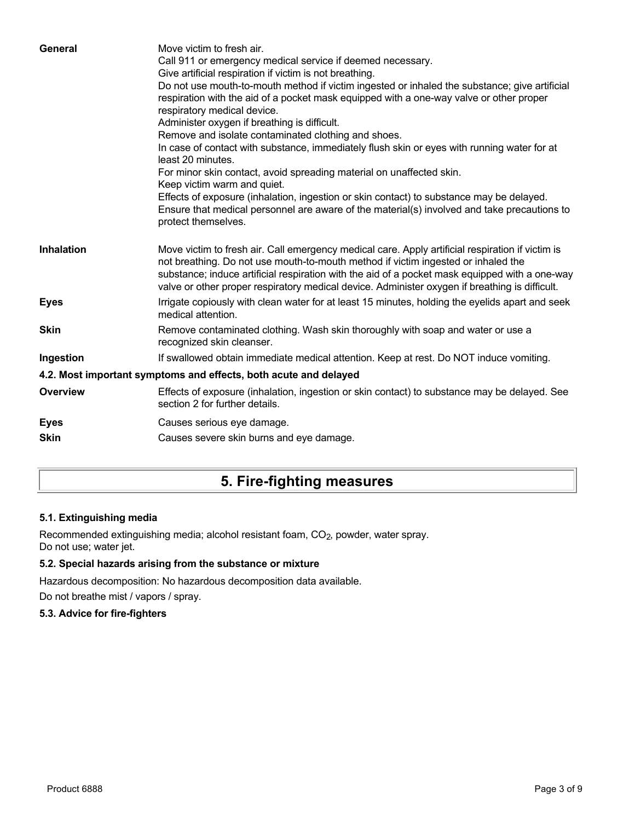| General           | Move victim to fresh air.<br>Call 911 or emergency medical service if deemed necessary.<br>Give artificial respiration if victim is not breathing.<br>Do not use mouth-to-mouth method if victim ingested or inhaled the substance; give artificial<br>respiration with the aid of a pocket mask equipped with a one-way valve or other proper<br>respiratory medical device.<br>Administer oxygen if breathing is difficult.<br>Remove and isolate contaminated clothing and shoes.<br>In case of contact with substance, immediately flush skin or eyes with running water for at<br>least 20 minutes.<br>For minor skin contact, avoid spreading material on unaffected skin.<br>Keep victim warm and quiet.<br>Effects of exposure (inhalation, ingestion or skin contact) to substance may be delayed.<br>Ensure that medical personnel are aware of the material(s) involved and take precautions to<br>protect themselves. |
|-------------------|-----------------------------------------------------------------------------------------------------------------------------------------------------------------------------------------------------------------------------------------------------------------------------------------------------------------------------------------------------------------------------------------------------------------------------------------------------------------------------------------------------------------------------------------------------------------------------------------------------------------------------------------------------------------------------------------------------------------------------------------------------------------------------------------------------------------------------------------------------------------------------------------------------------------------------------|
| <b>Inhalation</b> | Move victim to fresh air. Call emergency medical care. Apply artificial respiration if victim is<br>not breathing. Do not use mouth-to-mouth method if victim ingested or inhaled the<br>substance; induce artificial respiration with the aid of a pocket mask equipped with a one-way<br>valve or other proper respiratory medical device. Administer oxygen if breathing is difficult.                                                                                                                                                                                                                                                                                                                                                                                                                                                                                                                                         |
| <b>Eyes</b>       | Irrigate copiously with clean water for at least 15 minutes, holding the eyelids apart and seek<br>medical attention.                                                                                                                                                                                                                                                                                                                                                                                                                                                                                                                                                                                                                                                                                                                                                                                                             |
| <b>Skin</b>       | Remove contaminated clothing. Wash skin thoroughly with soap and water or use a<br>recognized skin cleanser.                                                                                                                                                                                                                                                                                                                                                                                                                                                                                                                                                                                                                                                                                                                                                                                                                      |
| Ingestion         | If swallowed obtain immediate medical attention. Keep at rest. Do NOT induce vomiting.                                                                                                                                                                                                                                                                                                                                                                                                                                                                                                                                                                                                                                                                                                                                                                                                                                            |
|                   | 4.2. Most important symptoms and effects, both acute and delayed                                                                                                                                                                                                                                                                                                                                                                                                                                                                                                                                                                                                                                                                                                                                                                                                                                                                  |
| <b>Overview</b>   | Effects of exposure (inhalation, ingestion or skin contact) to substance may be delayed. See<br>section 2 for further details.                                                                                                                                                                                                                                                                                                                                                                                                                                                                                                                                                                                                                                                                                                                                                                                                    |
| <b>Eyes</b>       | Causes serious eye damage.                                                                                                                                                                                                                                                                                                                                                                                                                                                                                                                                                                                                                                                                                                                                                                                                                                                                                                        |
| <b>Skin</b>       | Causes severe skin burns and eye damage.                                                                                                                                                                                                                                                                                                                                                                                                                                                                                                                                                                                                                                                                                                                                                                                                                                                                                          |
|                   |                                                                                                                                                                                                                                                                                                                                                                                                                                                                                                                                                                                                                                                                                                                                                                                                                                                                                                                                   |

# **5. Fire-fighting measures**

## **5.1. Extinguishing media**

Recommended extinguishing media; alcohol resistant foam, CO<sub>2</sub>, powder, water spray. Do not use; water jet.

### **5.2. Special hazards arising from the substance or mixture**

Hazardous decomposition: No hazardous decomposition data available.

Do not breathe mist / vapors / spray.

## **5.3. Advice for fire-fighters**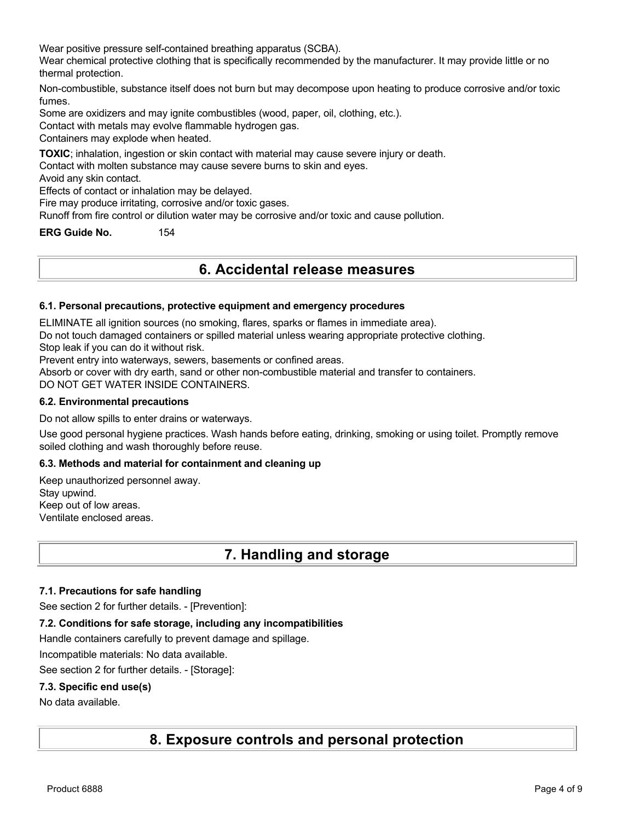Wear positive pressure self-contained breathing apparatus (SCBA).

Wear chemical protective clothing that is specifically recommended by the manufacturer. It may provide little or no thermal protection.

Non-combustible, substance itself does not burn but may decompose upon heating to produce corrosive and/or toxic fumes.

Some are oxidizers and may ignite combustibles (wood, paper, oil, clothing, etc.).

Contact with metals may evolve flammable hydrogen gas.

Containers may explode when heated.

**TOXIC**; inhalation, ingestion or skin contact with material may cause severe injury or death.

Contact with molten substance may cause severe burns to skin and eyes.

Avoid any skin contact.

Effects of contact or inhalation may be delayed.

Fire may produce irritating, corrosive and/or toxic gases.

Runoff from fire control or dilution water may be corrosive and/or toxic and cause pollution.

**ERG Guide No.** 154

## **6. Accidental release measures**

#### **6.1. Personal precautions, protective equipment and emergency procedures**

ELIMINATE all ignition sources (no smoking, flares, sparks or flames in immediate area).

Do not touch damaged containers or spilled material unless wearing appropriate protective clothing.

Stop leak if you can do it without risk.

Prevent entry into waterways, sewers, basements or confined areas.

Absorb or cover with dry earth, sand or other non-combustible material and transfer to containers. DO NOT GET WATER INSIDE CONTAINERS.

#### **6.2. Environmental precautions**

Do not allow spills to enter drains or waterways.

Use good personal hygiene practices. Wash hands before eating, drinking, smoking or using toilet. Promptly remove soiled clothing and wash thoroughly before reuse.

### **6.3. Methods and material for containment and cleaning up**

Keep unauthorized personnel away. Stay upwind. Keep out of low areas. Ventilate enclosed areas.

## **7. Handling and storage**

#### **7.1. Precautions for safe handling**

See section 2 for further details. - [Prevention]:

#### **7.2. Conditions for safe storage, including any incompatibilities**

Handle containers carefully to prevent damage and spillage.

Incompatible materials: No data available.

See section 2 for further details. - [Storage]:

#### **7.3. Specific end use(s)**

No data available.

## **8. Exposure controls and personal protection**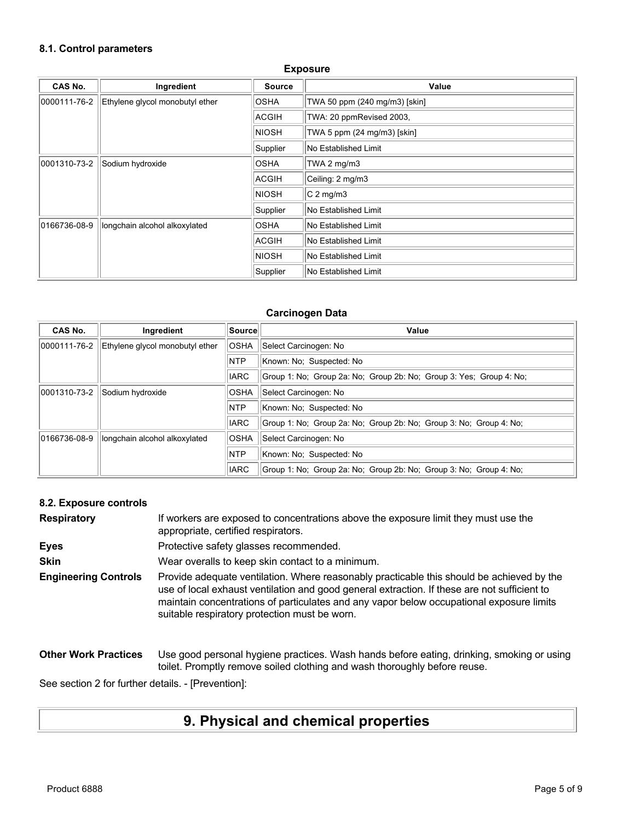### **8.1. Control parameters**

| <b>Exposure</b> |                                 |               |                               |
|-----------------|---------------------------------|---------------|-------------------------------|
| <b>CAS No.</b>  | Ingredient                      | <b>Source</b> | Value                         |
| 0000111-76-2    | Ethylene glycol monobutyl ether | <b>OSHA</b>   | TWA 50 ppm (240 mg/m3) [skin] |
|                 |                                 | ACGIH         | TWA: 20 ppmRevised 2003,      |
|                 |                                 | <b>NIOSH</b>  | TWA 5 ppm (24 mg/m3) [skin]   |
|                 |                                 | Supplier      | No Established Limit          |
| 0001310-73-2    | Sodium hydroxide                | <b>OSHA</b>   | TWA 2 $mg/m3$                 |
|                 |                                 | <b>ACGIH</b>  | Ceiling: 2 mg/m3              |
|                 |                                 | <b>NIOSH</b>  | $C2$ mg/m3                    |
|                 |                                 | Supplier      | No Established Limit          |
| 0166736-08-9    | longchain alcohol alkoxylated   | <b>OSHA</b>   | No Established Limit          |
|                 |                                 | ACGIH         | No Established Limit          |
|                 |                                 | <b>NIOSH</b>  | No Established Limit          |
|                 |                                 | Supplier      | No Established Limit          |

### **Carcinogen Data**

| <b>CAS No.</b> | Ingredient                      | ∣Source∣    | Value                                                               |
|----------------|---------------------------------|-------------|---------------------------------------------------------------------|
| 0000111-76-2   | Ethylene glycol monobutyl ether | <b>OSHA</b> | Select Carcinogen: No                                               |
|                |                                 | <b>NTP</b>  | Known: No: Suspected: No                                            |
|                |                                 | <b>IARC</b> | Group 1: No: Group 2a: No: Group 2b: No: Group 3: Yes: Group 4: No: |
| 0001310-73-2   | Sodium hydroxide                | <b>OSHA</b> | Select Carcinogen: No                                               |
|                |                                 | <b>NTP</b>  | Known: No: Suspected: No                                            |
|                |                                 | <b>IARC</b> | Group 1: No: Group 2a: No: Group 2b: No: Group 3: No: Group 4: No:  |
| 0166736-08-9   | longchain alcohol alkoxylated   | <b>OSHA</b> | Select Carcinogen: No                                               |
|                |                                 | <b>NTP</b>  | Known: No; Suspected: No                                            |
|                |                                 | <b>IARC</b> | Group 1: No: Group 2a: No: Group 2b: No: Group 3: No: Group 4: No:  |

### **8.2. Exposure controls**

| <b>Respiratory</b>          | If workers are exposed to concentrations above the exposure limit they must use the<br>appropriate, certified respirators.                                                                                                                                                                                                             |
|-----------------------------|----------------------------------------------------------------------------------------------------------------------------------------------------------------------------------------------------------------------------------------------------------------------------------------------------------------------------------------|
| <b>Eyes</b>                 | Protective safety glasses recommended.                                                                                                                                                                                                                                                                                                 |
| <b>Skin</b>                 | Wear overalls to keep skin contact to a minimum.                                                                                                                                                                                                                                                                                       |
| <b>Engineering Controls</b> | Provide adequate ventilation. Where reasonably practicable this should be achieved by the<br>use of local exhaust ventilation and good general extraction. If these are not sufficient to<br>maintain concentrations of particulates and any vapor below occupational exposure limits<br>suitable respiratory protection must be worn. |
| <b>Other Work Practices</b> | Use good personal hygiene practices. Wash hands before eating, drinking, smoking or using<br>toilet. Promptly remove soiled clothing and wash thoroughly before reuse.                                                                                                                                                                 |

See section 2 for further details. - [Prevention]:

# **9. Physical and chemical properties**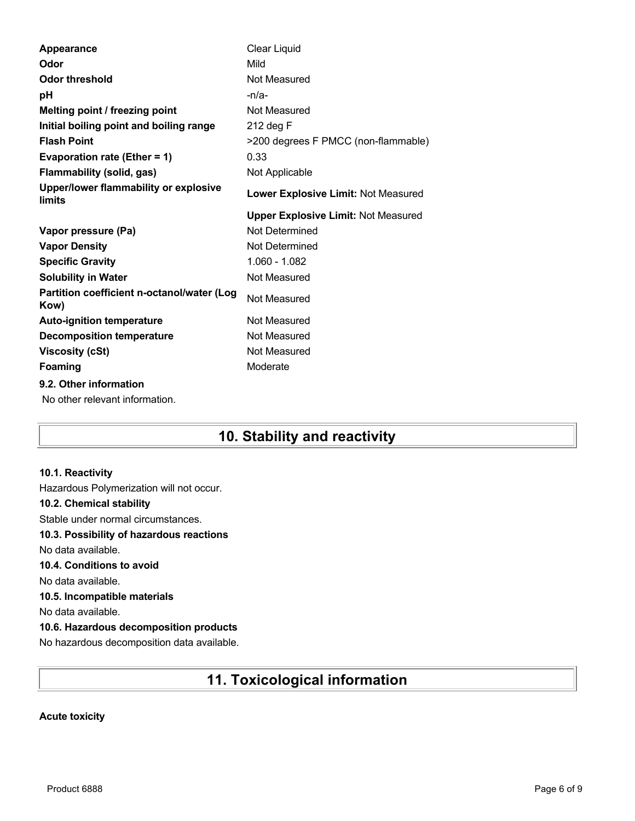| Appearance                                         | Clear Liquid                               |
|----------------------------------------------------|--------------------------------------------|
| Odor                                               | Mild                                       |
| <b>Odor threshold</b>                              | Not Measured                               |
| рH                                                 | $-n/a-$                                    |
| Melting point / freezing point                     | Not Measured                               |
| Initial boiling point and boiling range            | 212 deg F                                  |
| <b>Flash Point</b>                                 | >200 degrees F PMCC (non-flammable)        |
| Evaporation rate (Ether = 1)                       | 0.33                                       |
| <b>Flammability (solid, gas)</b>                   | Not Applicable                             |
| Upper/lower flammability or explosive<br>limits    | Lower Explosive Limit: Not Measured        |
|                                                    | <b>Upper Explosive Limit: Not Measured</b> |
| Vapor pressure (Pa)                                | Not Determined                             |
| <b>Vapor Density</b>                               | Not Determined                             |
|                                                    |                                            |
| <b>Specific Gravity</b>                            | 1.060 - 1.082                              |
| <b>Solubility in Water</b>                         | Not Measured                               |
| Partition coefficient n-octanol/water (Log<br>Kow) | Not Measured                               |
| <b>Auto-ignition temperature</b>                   | Not Measured                               |
| <b>Decomposition temperature</b>                   | Not Measured                               |
| <b>Viscosity (cSt)</b>                             | Not Measured                               |
| <b>Foaming</b>                                     | Moderate                                   |

# **10. Stability and reactivity**

### **10.1. Reactivity**

Hazardous Polymerization will not occur. **10.2. Chemical stability** Stable under normal circumstances. **10.3. Possibility of hazardous reactions** No data available. **10.4. Conditions to avoid** No data available. **10.5. Incompatible materials** No data available. **10.6. Hazardous decomposition products** No hazardous decomposition data available.

# **11. Toxicological information**

### **Acute toxicity**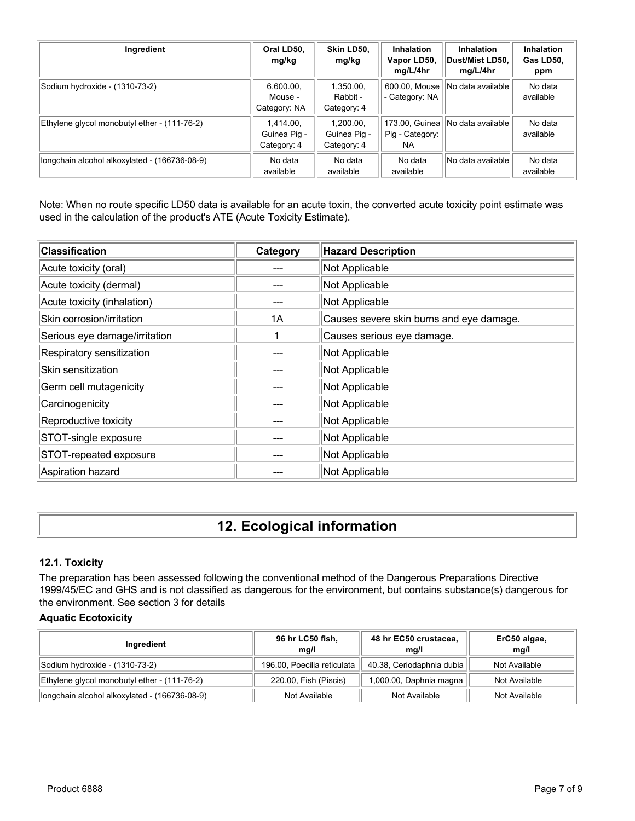| Ingredient                                    | Oral LD50,<br>mg/kg                      | Skin LD50,<br>mg/kg                      | <b>Inhalation</b><br>Vapor LD50,<br>mg/L/4hr | <b>Inhalation</b><br>∣Dust/Mist LD50.∣<br>mg/L/4hr | <b>Inhalation</b><br>Gas LD50,<br>ppm |
|-----------------------------------------------|------------------------------------------|------------------------------------------|----------------------------------------------|----------------------------------------------------|---------------------------------------|
| Sodium hydroxide - (1310-73-2)                | 6,600.00,<br>Mouse -<br>Category: NA     | 1.350.00.<br>Rabbit -<br>Category: 4     | 600.00, Mouse<br>- Category: NA              | No data available                                  | No data<br>available                  |
| Ethylene glycol monobutyl ether - (111-76-2)  | 1.414.00.<br>Guinea Pig -<br>Category: 4 | 1.200.00.<br>Guinea Pig -<br>Category: 4 | Pig - Category:<br>NA.                       | 173.00, Guinea    No data available                | No data<br>available                  |
| longchain alcohol alkoxylated - (166736-08-9) | No data<br>available                     | No data<br>available                     | No data<br>available                         | No data available                                  | No data<br>available                  |

Note: When no route specific LD50 data is available for an acute toxin, the converted acute toxicity point estimate was used in the calculation of the product's ATE (Acute Toxicity Estimate).

| <b>Classification</b>         | Category | <b>Hazard Description</b>                |
|-------------------------------|----------|------------------------------------------|
| Acute toxicity (oral)         |          | Not Applicable                           |
| Acute toxicity (dermal)       |          | Not Applicable                           |
| Acute toxicity (inhalation)   |          | Not Applicable                           |
| Skin corrosion/irritation     | 1A       | Causes severe skin burns and eye damage. |
| Serious eye damage/irritation |          | Causes serious eye damage.               |
| Respiratory sensitization     |          | Not Applicable                           |
| Skin sensitization            |          | Not Applicable                           |
| Germ cell mutagenicity        |          | Not Applicable                           |
| Carcinogenicity               |          | Not Applicable                           |
| Reproductive toxicity         |          | Not Applicable                           |
| STOT-single exposure          |          | Not Applicable                           |
| STOT-repeated exposure        |          | Not Applicable                           |
| Aspiration hazard             |          | Not Applicable                           |

# **12. Ecological information**

### **12.1. Toxicity**

The preparation has been assessed following the conventional method of the Dangerous Preparations Directive 1999/45/EC and GHS and is not classified as dangerous for the environment, but contains substance(s) dangerous for the environment. See section 3 for details

### **Aquatic Ecotoxicity**

| Ingredient                                    | 96 hr LC50 fish,<br>ma/l    | 48 hr EC50 crustacea,<br>mg/l | ErC50 algae,<br>mq/l |
|-----------------------------------------------|-----------------------------|-------------------------------|----------------------|
| Sodium hydroxide - (1310-73-2)                | 196.00, Poecilia reticulata | 40.38, Ceriodaphnia dubia     | Not Available        |
| Ethylene glycol monobutyl ether - (111-76-2)  | 220.00, Fish (Piscis)       | 1,000.00, Daphnia magna       | Not Available        |
| longchain alcohol alkoxylated - (166736-08-9) | Not Available               | Not Available                 | Not Available        |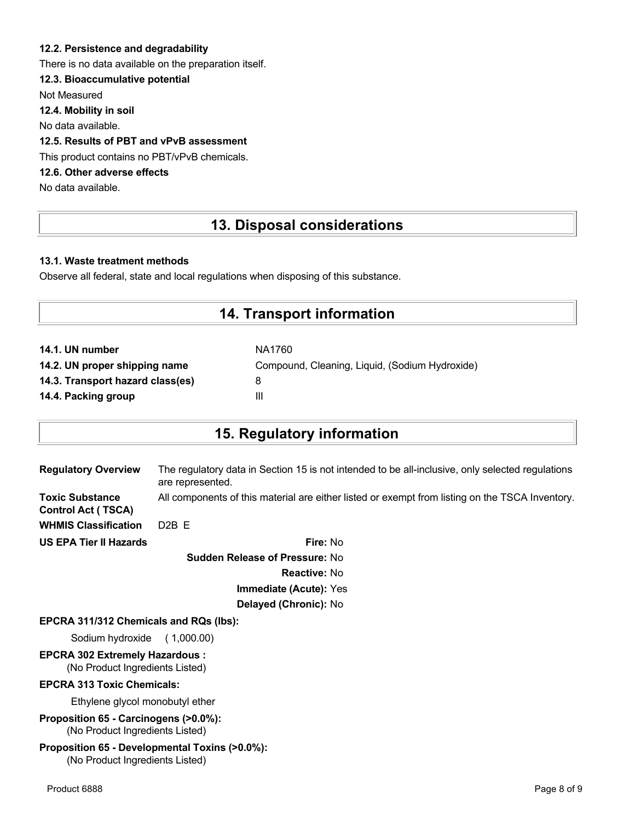### **12.2. Persistence and degradability**

There is no data available on the preparation itself.

### **12.3. Bioaccumulative potential**

Not Measured

**12.4. Mobility in soil**

No data available.

### **12.5. Results of PBT and vPvB assessment**

This product contains no PBT/vPvB chemicals.

### **12.6. Other adverse effects**

No data available.

## **13. Disposal considerations**

### **13.1. Waste treatment methods**

Observe all federal, state and local regulations when disposing of this substance.

## **14. Transport information**

| NA1760                                         |
|------------------------------------------------|
| Compound, Cleaning, Liquid, (Sodium Hydroxide) |
| 8                                              |
| Ш                                              |
|                                                |

## **15. Regulatory information**

| <b>Regulatory Overview</b>                          | The regulatory data in Section 15 is not intended to be all-inclusive, only selected regulations<br>are represented. |
|-----------------------------------------------------|----------------------------------------------------------------------------------------------------------------------|
| <b>Toxic Substance</b><br><b>Control Act (TSCA)</b> | All components of this material are either listed or exempt from listing on the TSCA Inventory.                      |
| <b>WHMIS Classification</b>                         | $D2B$ F                                                                                                              |
| <b>US EPA Tier II Hazards</b>                       | <b>Fire: No</b>                                                                                                      |

**Sudden Release of Pressure:** No **Reactive:** No **Immediate (Acute):** Yes **Delayed (Chronic):** No

#### **EPCRA 311/312 Chemicals and RQs (lbs):**

Sodium hydroxide ( 1,000.00)

# **EPCRA 302 Extremely Hazardous :**

(No Product Ingredients Listed)

### **EPCRA 313 Toxic Chemicals:**

Ethylene glycol monobutyl ether

**Proposition 65 - Carcinogens (>0.0%):** (No Product Ingredients Listed)

#### **Proposition 65 - Developmental Toxins (>0.0%):** (No Product Ingredients Listed)